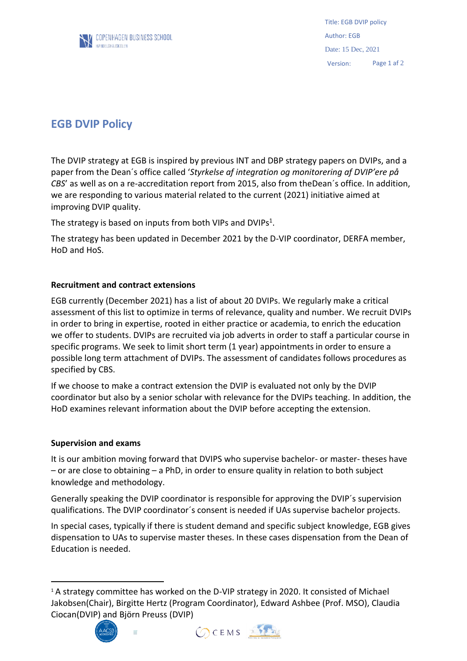

Title: EGB DVIP policy Author: EGB Date: 15 Dec, 2021 Version: Page 1 af 2

# **EGB DVIP Policy**

The DVIP strategy at EGB is inspired by previous INT and DBP strategy papers on DVIPs, and a paper from the Dean´s office called '*Styrkelse af integration og monitorering af DVIP'ere på CBS'* as well as on a re-accreditation report from 2015, also from the Dean's office. In addition, we are responding to various material related to the current (2021) initiative aimed at improving DVIP quality.

The strategy is based on inputs from both VIPs and DVIPs<sup>1</sup>.

The strategy has been updated in December 2021 by the D-VIP coordinator, DERFA member, HoD and HoS.

# **Recruitment and contract extensions**

EGB currently (December 2021) has a list of about 20 DVIPs. We regularly make a critical assessment of this list to optimize in terms of relevance, quality and number. We recruit DVIPs in order to bring in expertise, rooted in either practice or academia, to enrich the education we offer to students. DVIPs are recruited via job adverts in order to staff a particular course in specific programs. We seek to limit short term (1 year) appointments in order to ensure a possible long term attachment of DVIPs. The assessment of candidates follows procedures as specified by CBS.

If we choose to make a contract extension the DVIP is evaluated not only by the DVIP coordinator but also by a senior scholar with relevance for the DVIPs teaching. In addition, the HoD examines relevant information about the DVIP before accepting the extension.

### **Supervision and exams**

It is our ambition moving forward that DVIPS who supervise bachelor- or master- theses have – or are close to obtaining – a PhD, in order to ensure quality in relation to both subject knowledge and methodology.

Generally speaking the DVIP coordinator is responsible for approving the DVIP´s supervision qualifications. The DVIP coordinator´s consent is needed if UAs supervise bachelor projects.

In special cases, typically if there is student demand and specific subject knowledge, EGB gives dispensation to UAs to supervise master theses. In these cases dispensation from the Dean of Education is needed.

<sup>&</sup>lt;sup>1</sup> A strategy committee has worked on the D-VIP strategy in 2020. It consisted of Michael Jakobsen(Chair), Birgitte Hertz (Program Coordinator), Edward Ashbee (Prof. MSO), Claudia Ciocan(DVIP) and Björn Preuss (DVIP)



u,

 $\overline{a}$ 



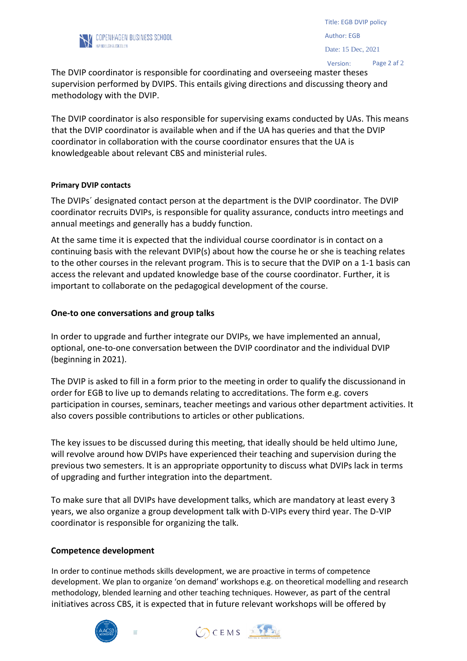

Version: Page 2 af 2

The DVIP coordinator is responsible for coordinating and overseeing master theses supervision performed by DVIPS. This entails giving directions and discussing theory and methodology with the DVIP.

The DVIP coordinator is also responsible for supervising exams conducted by UAs. This means that the DVIP coordinator is available when and if the UA has queries and that the DVIP coordinator in collaboration with the course coordinator ensures that the UA is knowledgeable about relevant CBS and ministerial rules.

### **Primary DVIP contacts**

The DVIPs´ designated contact person at the department is the DVIP coordinator. The DVIP coordinator recruits DVIPs, is responsible for quality assurance, conducts intro meetings and annual meetings and generally has a buddy function.

At the same time it is expected that the individual course coordinator is in contact on a continuing basis with the relevant DVIP(s) about how the course he or she is teaching relates to the other courses in the relevant program. This is to secure that the DVIP on a 1-1 basis can access the relevant and updated knowledge base of the course coordinator. Further, it is important to collaborate on the pedagogical development of the course.

### **One-to one conversations and group talks**

In order to upgrade and further integrate our DVIPs, we have implemented an annual, optional, one-to-one conversation between the DVIP coordinator and the individual DVIP (beginning in 2021).

The DVIP is asked to fill in a form prior to the meeting in order to qualify the discussionand in order for EGB to live up to demands relating to accreditations. The form e.g. covers participation in courses, seminars, teacher meetings and various other department activities. It also covers possible contributions to articles or other publications.

The key issues to be discussed during this meeting, that ideally should be held ultimo June, will revolve around how DVIPs have experienced their teaching and supervision during the previous two semesters. It is an appropriate opportunity to discuss what DVIPs lack in terms of upgrading and further integration into the department.

To make sure that all DVIPs have development talks, which are mandatory at least every 3 years, we also organize a group development talk with D-VIPs every third year. The D-VIP coordinator is responsible for organizing the talk.

### **Competence development**

In order to continue methods skills development, we are proactive in terms of competence development. We plan to organize 'on demand' workshops e.g. on theoretical modelling and research methodology, blended learning and other teaching techniques. However, as part of the central initiatives across CBS, it is expected that in future relevant workshops will be offered by